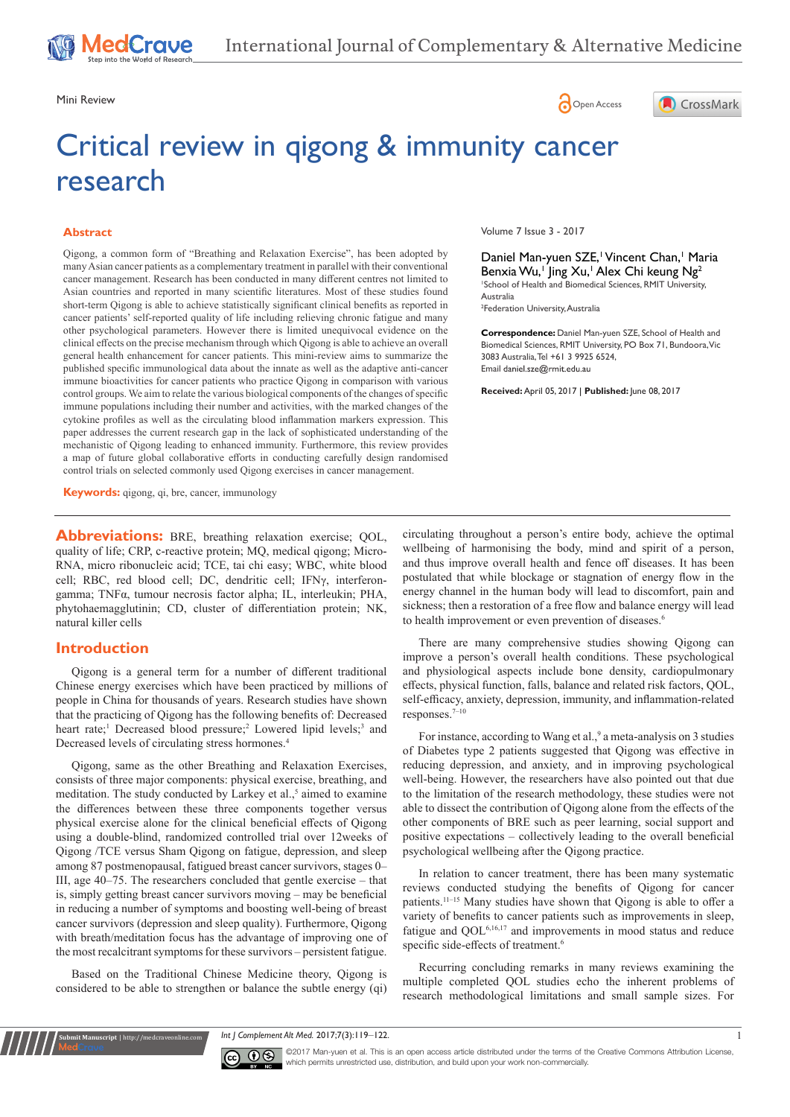Mini Review **Open Access** 

# Critical review in qigong & immunity cancer research

#### **Abstract**

Qigong, a common form of "Breathing and Relaxation Exercise", has been adopted by many Asian cancer patients as a complementary treatment in parallel with their conventional cancer management. Research has been conducted in many different centres not limited to Asian countries and reported in many scientific literatures. Most of these studies found short-term Qigong is able to achieve statistically significant clinical benefits as reported in cancer patients' self-reported quality of life including relieving chronic fatigue and many other psychological parameters. However there is limited unequivocal evidence on the clinical effects on the precise mechanism through which Qigong is able to achieve an overall general health enhancement for cancer patients. This mini-review aims to summarize the published specific immunological data about the innate as well as the adaptive anti-cancer immune bioactivities for cancer patients who practice Qigong in comparison with various control groups. We aim to relate the various biological components of the changes of specific immune populations including their number and activities, with the marked changes of the cytokine profiles as well as the circulating blood inflammation markers expression. This paper addresses the current research gap in the lack of sophisticated understanding of the mechanistic of Qigong leading to enhanced immunity. Furthermore, this review provides a map of future global collaborative efforts in conducting carefully design randomised control trials on selected commonly used Qigong exercises in cancer management.

**Keywords:** qigong, qi, bre, cancer, immunology

**Abbreviations:** BRE, breathing relaxation exercise; QOL, quality of life; CRP, c-reactive protein; MQ, medical qigong; Micro-RNA, micro ribonucleic acid; TCE, tai chi easy; WBC, white blood cell; RBC, red blood cell; DC, dendritic cell; IFNγ, interferongamma; TNFα, tumour necrosis factor alpha; IL, interleukin; PHA, phytohaemagglutinin; CD, cluster of differentiation protein; NK, natural killer cells

#### **Introduction**

Qigong is a general term for a number of different traditional Chinese energy exercises which have been practiced by millions of people in China for thousands of years. Research studies have shown that the practicing of Qigong has the following benefits of: Decreased heart rate;<sup>1</sup> Decreased blood pressure;<sup>2</sup> Lowered lipid levels;<sup>3</sup> and Decreased levels of circulating stress hormones.4

Qigong, same as the other Breathing and Relaxation Exercises, consists of three major components: physical exercise, breathing, and meditation. The study conducted by Larkey et al.,<sup>5</sup> aimed to examine the differences between these three components together versus physical exercise alone for the clinical beneficial effects of Qigong using a double-blind, randomized controlled trial over 12weeks of Qigong /TCE versus Sham Qigong on fatigue, depression, and sleep among 87 postmenopausal, fatigued breast cancer survivors, stages 0– III, age 40–75. The researchers concluded that gentle exercise – that is, simply getting breast cancer survivors moving – may be beneficial in reducing a number of symptoms and boosting well-being of breast cancer survivors (depression and sleep quality). Furthermore, Qigong with breath/meditation focus has the advantage of improving one of the most recalcitrant symptoms for these survivors – persistent fatigue.

Based on the Traditional Chinese Medicine theory, Qigong is considered to be able to strengthen or balance the subtle energy (qi)

**Submit Manuscript** | http://medcraveonline.com

Volume 7 Issue 3 - 2017

Daniel Man-yuen SZE,<sup>1</sup> Vincent Chan,<sup>1</sup> Maria Benxia Wu,<sup>1</sup> Jing Xu,<sup>1</sup> Alex Chi keung Ng<sup>2</sup> 1 School of Health and Biomedical Sciences, RMIT University, Australia 2 Federation University, Australia

CrossMark

**Correspondence:** Daniel Man-yuen SZE, School of Health and Biomedical Sciences, RMIT University, PO Box 71, Bundoora, Vic 3083 Australia, Tel +61 3 9925 6524, Email daniel.sze@rmit.edu.au

**Received:** April 05, 2017 | **Published:** June 08, 2017

circulating throughout a person's entire body, achieve the optimal wellbeing of harmonising the body, mind and spirit of a person, and thus improve overall health and fence off diseases. It has been postulated that while blockage or stagnation of energy flow in the energy channel in the human body will lead to discomfort, pain and sickness; then a restoration of a free flow and balance energy will lead to health improvement or even prevention of diseases.<sup>6</sup>

There are many comprehensive studies showing Qigong can improve a person's overall health conditions. These psychological and physiological aspects include bone density, cardiopulmonary effects, physical function, falls, balance and related risk factors, QOL, self-efficacy, anxiety, depression, immunity, and inflammation-related responses.7‒10

For instance, according to Wang et al.,<sup>9</sup> a meta-analysis on 3 studies of Diabetes type 2 patients suggested that Qigong was effective in reducing depression, and anxiety, and in improving psychological well-being. However, the researchers have also pointed out that due to the limitation of the research methodology, these studies were not able to dissect the contribution of Qigong alone from the effects of the other components of BRE such as peer learning, social support and positive expectations – collectively leading to the overall beneficial psychological wellbeing after the Qigong practice.

In relation to cancer treatment, there has been many systematic reviews conducted studying the benefits of Qigong for cancer patients.<sup>11-15</sup> Many studies have shown that Qigong is able to offer a variety of benefits to cancer patients such as improvements in sleep, fatigue and QOL6,16,17 and improvements in mood status and reduce specific side-effects of treatment.<sup>6</sup>

Recurring concluding remarks in many reviews examining the multiple completed QOL studies echo the inherent problems of research methodological limitations and small sample sizes. For

**Int | Complement Alt Med. 2017;7(3):119–122.** 1



©2017 Man-yuen et al. This is an open access article distributed under the terms of the Creative Commons Attribution License, which permits unrestricted use, distribution, and build upon your work non-commercially.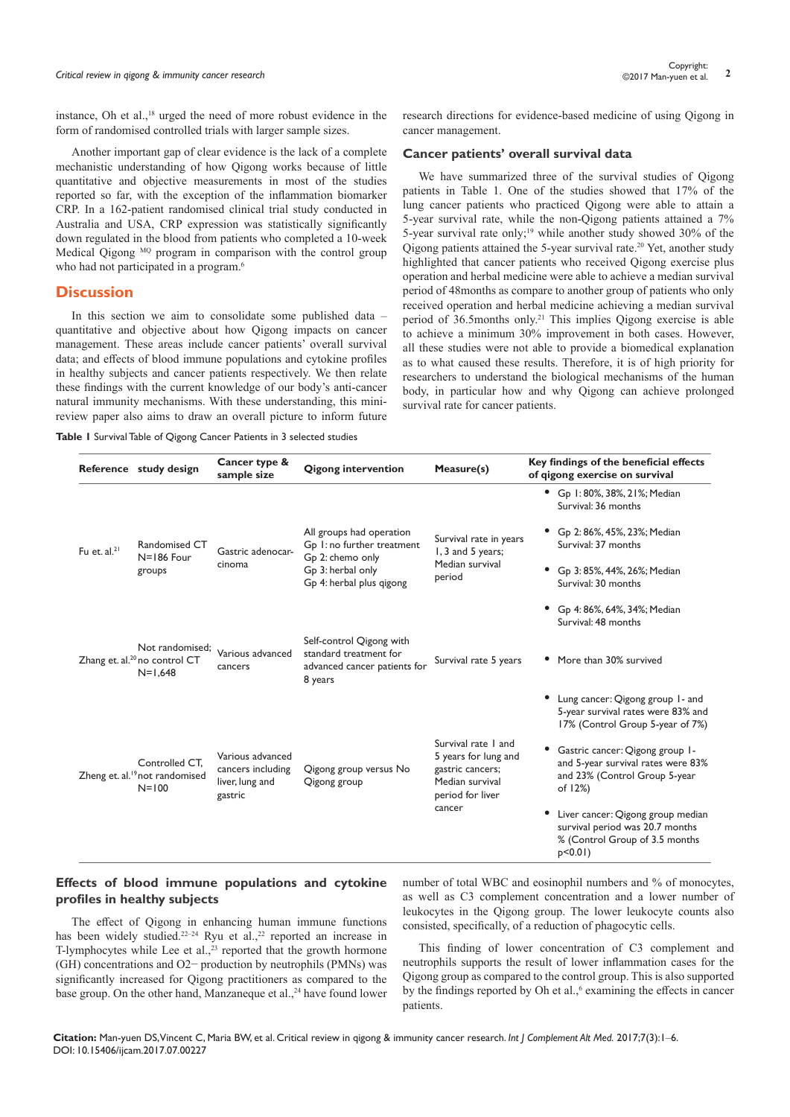instance, Oh et al.,18 urged the need of more robust evidence in the form of randomised controlled trials with larger sample sizes.

Another important gap of clear evidence is the lack of a complete mechanistic understanding of how Qigong works because of little quantitative and objective measurements in most of the studies reported so far, with the exception of the inflammation biomarker CRP. In a 162-patient randomised clinical trial study conducted in Australia and USA, CRP expression was statistically significantly down regulated in the blood from patients who completed a 10-week Medical Qigong <sup>MQ</sup> program in comparison with the control group who had not participated in a program.<sup>6</sup>

#### **Discussion**

In this section we aim to consolidate some published data – quantitative and objective about how Qigong impacts on cancer management. These areas include cancer patients' overall survival data; and effects of blood immune populations and cytokine profiles in healthy subjects and cancer patients respectively. We then relate these findings with the current knowledge of our body's anti-cancer natural immunity mechanisms. With these understanding, this minireview paper also aims to draw an overall picture to inform future

**Table 1** Survival Table of Qigong Cancer Patients in 3 selected studies

research directions for evidence-based medicine of using Qigong in cancer management.

#### **Cancer patients' overall survival data**

We have summarized three of the survival studies of Qigong patients in Table 1. One of the studies showed that 17% of the lung cancer patients who practiced Qigong were able to attain a 5-year survival rate, while the non-Qigong patients attained a 7% 5-year survival rate only;<sup>19</sup> while another study showed  $30\%$  of the Qigong patients attained the 5-year survival rate.20 Yet, another study highlighted that cancer patients who received Qigong exercise plus operation and herbal medicine were able to achieve a median survival period of 48months as compare to another group of patients who only received operation and herbal medicine achieving a median survival period of 36.5months only.21 This implies Qigong exercise is able to achieve a minimum 30% improvement in both cases. However, all these studies were not able to provide a biomedical explanation as to what caused these results. Therefore, it is of high priority for researchers to understand the biological mechanisms of the human body, in particular how and why Qigong can achieve prolonged survival rate for cancer patients.

|                   | Reference study design                                                    | Cancer type &<br>sample size                                        | <b>Qigong intervention</b>                                                                                                  | Measure(s)                                                                                             | Key findings of the beneficial effects<br>of gigong exercise on survival                                                  |
|-------------------|---------------------------------------------------------------------------|---------------------------------------------------------------------|-----------------------------------------------------------------------------------------------------------------------------|--------------------------------------------------------------------------------------------------------|---------------------------------------------------------------------------------------------------------------------------|
|                   |                                                                           |                                                                     |                                                                                                                             |                                                                                                        | • Gp 1:80%, 38%, 21%; Median<br>Survival: 36 months                                                                       |
| Fu et. $al.^{21}$ | Randomised CT<br>$N = 186$ Four<br>groups                                 | Gastric adenocar-<br>cinoma                                         | All groups had operation<br>Gp 1: no further treatment<br>Gp 2: chemo only<br>Gp 3: herbal only<br>Gp 4: herbal plus gigong | Survival rate in years<br>1, 3 and 5 years;<br>Median survival<br>period                               | Gp 2: 86%, 45%, 23%; Median<br>Survival: 37 months                                                                        |
|                   |                                                                           |                                                                     |                                                                                                                             |                                                                                                        | Gp 3:85%, 44%, 26%; Median<br>Survival: 30 months                                                                         |
|                   |                                                                           |                                                                     |                                                                                                                             |                                                                                                        | Gp 4: 86%, 64%, 34%; Median<br>Survival: 48 months                                                                        |
|                   | Not randomised;<br>Zhang et. al. <sup>20</sup> no control CT<br>$N=1,648$ | Various advanced<br>cancers                                         | Self-control Qigong with<br>standard treatment for<br>advanced cancer patients for<br>8 years                               | Survival rate 5 years                                                                                  | More than 30% survived                                                                                                    |
|                   |                                                                           |                                                                     |                                                                                                                             |                                                                                                        | • Lung cancer: Qigong group 1- and<br>5-year survival rates were 83% and<br>17% (Control Group 5-year of 7%)              |
|                   | Controlled CT.<br>Zheng et. al. <sup>19</sup> not randomised<br>$N = 100$ | Various advanced<br>cancers including<br>liver, lung and<br>gastric | Qigong group versus No<br>Qigong group                                                                                      | Survival rate 1 and<br>5 years for lung and<br>gastric cancers;<br>Median survival<br>period for liver | Gastric cancer: Qigong group 1-<br>and 5-year survival rates were 83%<br>and 23% (Control Group 5-year<br>of 12%)         |
|                   |                                                                           |                                                                     |                                                                                                                             | cancer                                                                                                 | Liver cancer: Qigong group median<br>٠<br>survival period was 20.7 months<br>% (Control Group of 3.5 months<br>$p<0.01$ ) |

### **Effects of blood immune populations and cytokine profiles in healthy subjects**

The effect of Qigong in enhancing human immune functions has been widely studied.<sup>22-24</sup> Ryu et al.,<sup>22</sup> reported an increase in T-lymphocytes while Lee et al., $^{23}$  reported that the growth hormone (GH) concentrations and O2− production by neutrophils (PMNs) was significantly increased for Qigong practitioners as compared to the base group. On the other hand, Manzaneque et al.,<sup>24</sup> have found lower number of total WBC and eosinophil numbers and % of monocytes, as well as C3 complement concentration and a lower number of leukocytes in the Qigong group. The lower leukocyte counts also consisted, specifically, of a reduction of phagocytic cells.

This finding of lower concentration of C3 complement and neutrophils supports the result of lower inflammation cases for the Qigong group as compared to the control group. This is also supported by the findings reported by Oh et al.,<sup>6</sup> examining the effects in cancer patients.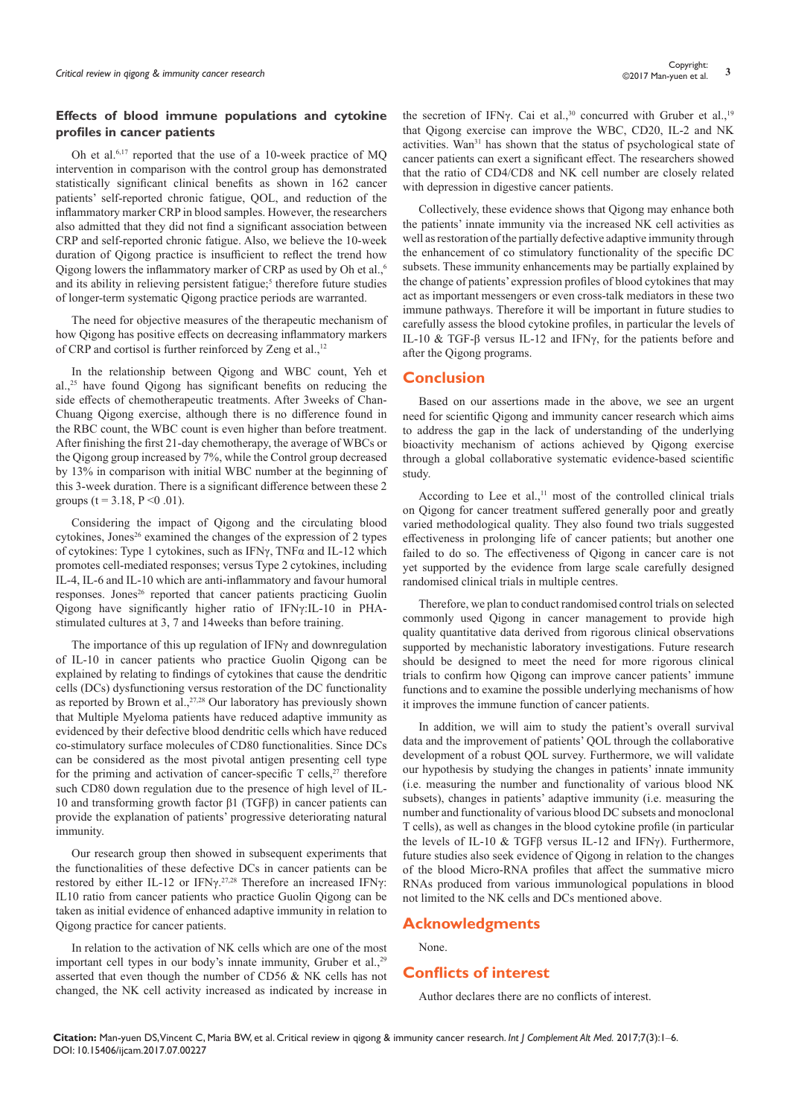#### **Effects of blood immune populations and cytokine profiles in cancer patients**

Oh et al.6,17 reported that the use of a 10-week practice of MQ intervention in comparison with the control group has demonstrated statistically significant clinical benefits as shown in 162 cancer patients' self-reported chronic fatigue, QOL, and reduction of the inflammatory marker CRP in blood samples. However, the researchers also admitted that they did not find a significant association between CRP and self-reported chronic fatigue. Also, we believe the 10-week duration of Qigong practice is insufficient to reflect the trend how Qigong lowers the inflammatory marker of CRP as used by Oh et al.,<sup>6</sup> and its ability in relieving persistent fatigue;<sup>5</sup> therefore future studies of longer-term systematic Qigong practice periods are warranted.

The need for objective measures of the therapeutic mechanism of how Qigong has positive effects on decreasing inflammatory markers of CRP and cortisol is further reinforced by Zeng et al.,<sup>12</sup>

In the relationship between Qigong and WBC count, Yeh et al.,25 have found Qigong has significant benefits on reducing the side effects of chemotherapeutic treatments. After 3weeks of Chan-Chuang Qigong exercise, although there is no difference found in the RBC count, the WBC count is even higher than before treatment. After finishing the first 21-day chemotherapy, the average of WBCs or the Qigong group increased by 7%, while the Control group decreased by 13% in comparison with initial WBC number at the beginning of this 3-week duration. There is a significant difference between these 2 groups ( $t = 3.18$ ,  $P \le 0.01$ ).

Considering the impact of Qigong and the circulating blood cytokines, Jones<sup>26</sup> examined the changes of the expression of 2 types of cytokines: Type 1 cytokines, such as IFNγ, TNFα and IL-12 which promotes cell-mediated responses; versus Type 2 cytokines, including IL-4, IL-6 and IL-10 which are anti-inflammatory and favour humoral responses. Jones<sup>26</sup> reported that cancer patients practicing Guolin Qigong have significantly higher ratio of IFNγ:IL-10 in PHAstimulated cultures at 3, 7 and 14weeks than before training.

The importance of this up regulation of IFNγ and downregulation of IL-10 in cancer patients who practice Guolin Qigong can be explained by relating to findings of cytokines that cause the dendritic cells (DCs) dysfunctioning versus restoration of the DC functionality as reported by Brown et al., $27,28$  Our laboratory has previously shown that Multiple Myeloma patients have reduced adaptive immunity as evidenced by their defective blood dendritic cells which have reduced co-stimulatory surface molecules of CD80 functionalities. Since DCs can be considered as the most pivotal antigen presenting cell type for the priming and activation of cancer-specific  $T$  cells,<sup>27</sup> therefore such CD80 down regulation due to the presence of high level of IL-10 and transforming growth factor β1 (TGFβ) in cancer patients can provide the explanation of patients' progressive deteriorating natural immunity.

Our research group then showed in subsequent experiments that the functionalities of these defective DCs in cancer patients can be restored by either IL-12 or IFNγ.27,28 Therefore an increased IFNγ: IL10 ratio from cancer patients who practice Guolin Qigong can be taken as initial evidence of enhanced adaptive immunity in relation to Qigong practice for cancer patients.

In relation to the activation of NK cells which are one of the most important cell types in our body's innate immunity, Gruber et al.,<sup>29</sup> asserted that even though the number of CD56 & NK cells has not changed, the NK cell activity increased as indicated by increase in

the secretion of IFNγ. Cai et al.,<sup>30</sup> concurred with Gruber et al.,<sup>19</sup> that Qigong exercise can improve the WBC, CD20, IL-2 and NK activities. Wan<sup>31</sup> has shown that the status of psychological state of cancer patients can exert a significant effect. The researchers showed that the ratio of CD4/CD8 and NK cell number are closely related with depression in digestive cancer patients.

Collectively, these evidence shows that Qigong may enhance both the patients' innate immunity via the increased NK cell activities as well as restoration of the partially defective adaptive immunity through the enhancement of co stimulatory functionality of the specific DC subsets. These immunity enhancements may be partially explained by the change of patients' expression profiles of blood cytokines that may act as important messengers or even cross-talk mediators in these two immune pathways. Therefore it will be important in future studies to carefully assess the blood cytokine profiles, in particular the levels of IL-10 & TGF-β versus IL-12 and IFNγ, for the patients before and after the Qigong programs.

## **Conclusion**

Based on our assertions made in the above, we see an urgent need for scientific Qigong and immunity cancer research which aims to address the gap in the lack of understanding of the underlying bioactivity mechanism of actions achieved by Qigong exercise through a global collaborative systematic evidence-based scientific study.

According to Lee et al., $<sup>11</sup>$  most of the controlled clinical trials</sup> on Qigong for cancer treatment suffered generally poor and greatly varied methodological quality. They also found two trials suggested effectiveness in prolonging life of cancer patients; but another one failed to do so. The effectiveness of Qigong in cancer care is not yet supported by the evidence from large scale carefully designed randomised clinical trials in multiple centres.

Therefore, we plan to conduct randomised control trials on selected commonly used Qigong in cancer management to provide high quality quantitative data derived from rigorous clinical observations supported by mechanistic laboratory investigations. Future research should be designed to meet the need for more rigorous clinical trials to confirm how Qigong can improve cancer patients' immune functions and to examine the possible underlying mechanisms of how it improves the immune function of cancer patients.

In addition, we will aim to study the patient's overall survival data and the improvement of patients' QOL through the collaborative development of a robust QOL survey. Furthermore, we will validate our hypothesis by studying the changes in patients' innate immunity (i.e. measuring the number and functionality of various blood NK subsets), changes in patients' adaptive immunity (i.e. measuring the number and functionality of various blood DC subsets and monoclonal T cells), as well as changes in the blood cytokine profile (in particular the levels of IL-10 & TGFβ versus IL-12 and IFNγ). Furthermore, future studies also seek evidence of Qigong in relation to the changes of the blood Micro-RNA profiles that affect the summative micro RNAs produced from various immunological populations in blood not limited to the NK cells and DCs mentioned above.

# **Acknowledgments**

None.

## **Conflicts of interest**

Author declares there are no conflicts of interest.